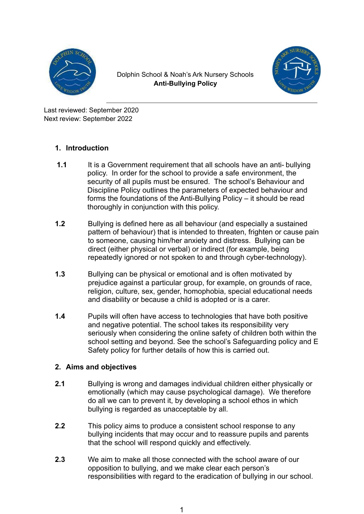

Dolphin School & Noah's Ark Nursery Schools **Anti-Bullying Policy**



Last reviewed: September 2020 Next review: September 2022

# **1. Introduction**

- **1.1** It is a Government requirement that all schools have an anti- bullying policy. In order for the school to provide a safe environment, the security of all pupils must be ensured. The school's Behaviour and Discipline Policy outlines the parameters of expected behaviour and forms the foundations of the Anti-Bullying Policy – it should be read thoroughly in conjunction with this policy.
- **1.2** Bullying is defined here as all behaviour (and especially a sustained pattern of behaviour) that is intended to threaten, frighten or cause pain to someone, causing him/her anxiety and distress. Bullying can be direct (either physical or verbal) or indirect (for example, being repeatedly ignored or not spoken to and through cyber-technology).
- **1.3** Bullying can be physical or emotional and is often motivated by prejudice against a particular group, for example, on grounds of race, religion, culture, sex, gender, homophobia, special educational needs and disability or because a child is adopted or is a carer.
- **1.4** Pupils will often have access to technologies that have both positive and negative potential. The school takes its responsibility very seriously when considering the online safety of children both within the school setting and beyond. See the school's Safeguarding policy and E Safety policy for further details of how this is carried out.

# **2. Aims and objectives**

- **2.1** Bullying is wrong and damages individual children either physically or emotionally (which may cause psychological damage). We therefore do all we can to prevent it, by developing a school ethos in which bullying is regarded as unacceptable by all.
- **2.2** This policy aims to produce a consistent school response to any bullying incidents that may occur and to reassure pupils and parents that the school will respond quickly and effectively.
- **2.3** We aim to make all those connected with the school aware of our opposition to bullying, and we make clear each person's responsibilities with regard to the eradication of bullying in our school.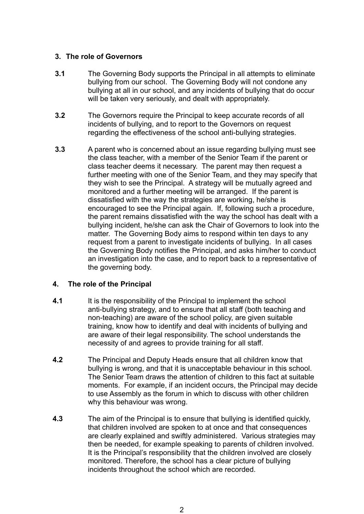#### **3. The role of Governors**

- **3.1** The Governing Body supports the Principal in all attempts to eliminate bullying from our school. The Governing Body will not condone any bullying at all in our school, and any incidents of bullying that do occur will be taken very seriously, and dealt with appropriately.
- **3.2** The Governors require the Principal to keep accurate records of all incidents of bullying, and to report to the Governors on request regarding the effectiveness of the school anti-bullying strategies.
- **3.3** A parent who is concerned about an issue regarding bullying must see the class teacher, with a member of the Senior Team if the parent or class teacher deems it necessary. The parent may then request a further meeting with one of the Senior Team, and they may specify that they wish to see the Principal. A strategy will be mutually agreed and monitored and a further meeting will be arranged. If the parent is dissatisfied with the way the strategies are working, he/she is encouraged to see the Principal again. If, following such a procedure, the parent remains dissatisfied with the way the school has dealt with a bullying incident, he/she can ask the Chair of Governors to look into the matter. The Governing Body aims to respond within ten days to any request from a parent to investigate incidents of bullying. In all cases the Governing Body notifies the Principal, and asks him/her to conduct an investigation into the case, and to report back to a representative of the governing body.

### **4. The role of the Principal**

- **4.1** It is the responsibility of the Principal to implement the school anti-bullying strategy, and to ensure that all staff (both teaching and non-teaching) are aware of the school policy, are given suitable training, know how to identify and deal with incidents of bullying and are aware of their legal responsibility. The school understands the necessity of and agrees to provide training for all staff.
- **4.2** The Principal and Deputy Heads ensure that all children know that bullying is wrong, and that it is unacceptable behaviour in this school. The Senior Team draws the attention of children to this fact at suitable moments. For example, if an incident occurs, the Principal may decide to use Assembly as the forum in which to discuss with other children why this behaviour was wrong.
- **4.3** The aim of the Principal is to ensure that bullying is identified quickly, that children involved are spoken to at once and that consequences are clearly explained and swiftly administered. Various strategies may then be needed, for example speaking to parents of children involved. It is the Principal's responsibility that the children involved are closely monitored. Therefore, the school has a clear picture of bullying incidents throughout the school which are recorded.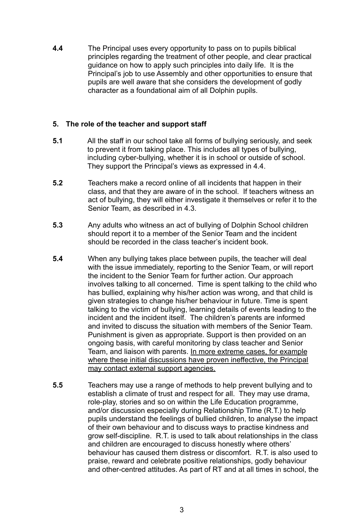**4.4** The Principal uses every opportunity to pass on to pupils biblical principles regarding the treatment of other people, and clear practical guidance on how to apply such principles into daily life. It is the Principal's job to use Assembly and other opportunities to ensure that pupils are well aware that she considers the development of godly character as a foundational aim of all Dolphin pupils.

#### **5. The role of the teacher and support staff**

- **5.1** All the staff in our school take all forms of bullying seriously, and seek to prevent it from taking place. This includes all types of bullying, including cyber-bullying, whether it is in school or outside of school. They support the Principal's views as expressed in 4.4.
- **5.2** Teachers make a record online of all incidents that happen in their class, and that they are aware of in the school. If teachers witness an act of bullying, they will either investigate it themselves or refer it to the Senior Team, as described in 4.3.
- **5.3** Any adults who witness an act of bullying of Dolphin School children should report it to a member of the Senior Team and the incident should be recorded in the class teacher's incident book.
- **5.4** When any bullying takes place between pupils, the teacher will deal with the issue immediately, reporting to the Senior Team, or will report the incident to the Senior Team for further action. Our approach involves talking to all concerned. Time is spent talking to the child who has bullied, explaining why his/her action was wrong, and that child is given strategies to change his/her behaviour in future. Time is spent talking to the victim of bullying, learning details of events leading to the incident and the incident itself. The children's parents are informed and invited to discuss the situation with members of the Senior Team. Punishment is given as appropriate. Support is then provided on an ongoing basis, with careful monitoring by class teacher and Senior Team, and liaison with parents. In more extreme cases, for example where these initial discussions have proven ineffective, the Principal may contact external support agencies.
- **5.5** Teachers may use a range of methods to help prevent bullying and to establish a climate of trust and respect for all. They may use drama, role-play, stories and so on within the Life Education programme, and/or discussion especially during Relationship Time (R.T.) to help pupils understand the feelings of bullied children, to analyse the impact of their own behaviour and to discuss ways to practise kindness and grow self-discipline. R.T. is used to talk about relationships in the class and children are encouraged to discuss honestly where others' behaviour has caused them distress or discomfort. R.T. is also used to praise, reward and celebrate positive relationships, godly behaviour and other-centred attitudes. As part of RT and at all times in school, the